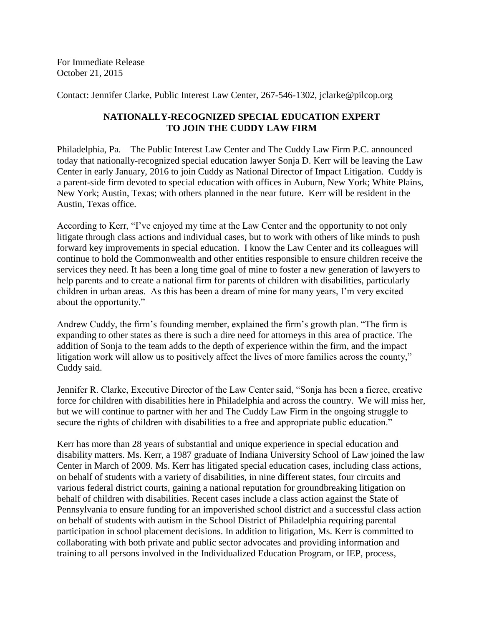For Immediate Release October 21, 2015

Contact: Jennifer Clarke, Public Interest Law Center, 267-546-1302, jclarke@pilcop.org

## **NATIONALLY-RECOGNIZED SPECIAL EDUCATION EXPERT TO JOIN THE CUDDY LAW FIRM**

Philadelphia, Pa. – The Public Interest Law Center and The Cuddy Law Firm P.C. announced today that nationally-recognized special education lawyer Sonja D. Kerr will be leaving the Law Center in early January, 2016 to join Cuddy as National Director of Impact Litigation. Cuddy is a parent-side firm devoted to special education with offices in Auburn, New York; White Plains, New York; Austin, Texas; with others planned in the near future. Kerr will be resident in the Austin, Texas office.

According to Kerr, "I've enjoyed my time at the Law Center and the opportunity to not only litigate through class actions and individual cases, but to work with others of like minds to push forward key improvements in special education. I know the Law Center and its colleagues will continue to hold the Commonwealth and other entities responsible to ensure children receive the services they need. It has been a long time goal of mine to foster a new generation of lawyers to help parents and to create a national firm for parents of children with disabilities, particularly children in urban areas. As this has been a dream of mine for many years, I'm very excited about the opportunity."

Andrew Cuddy, the firm's founding member, explained the firm's growth plan. "The firm is expanding to other states as there is such a dire need for attorneys in this area of practice. The addition of Sonja to the team adds to the depth of experience within the firm, and the impact litigation work will allow us to positively affect the lives of more families across the county," Cuddy said.

Jennifer R. Clarke, Executive Director of the Law Center said, "Sonja has been a fierce, creative force for children with disabilities here in Philadelphia and across the country. We will miss her, but we will continue to partner with her and The Cuddy Law Firm in the ongoing struggle to secure the rights of children with disabilities to a free and appropriate public education."

Kerr has more than 28 years of substantial and unique experience in special education and disability matters. Ms. Kerr, a 1987 graduate of Indiana University School of Law joined the law Center in March of 2009. Ms. Kerr has litigated special education cases, including class actions, on behalf of students with a variety of disabilities, in nine different states, four circuits and various federal district courts, gaining a national reputation for groundbreaking litigation on behalf of children with disabilities. Recent cases include a class action against the State of Pennsylvania to ensure funding for an impoverished school district and a successful class action on behalf of students with autism in the School District of Philadelphia requiring parental participation in school placement decisions. In addition to litigation, Ms. Kerr is committed to collaborating with both private and public sector advocates and providing information and training to all persons involved in the Individualized Education Program, or IEP, process,